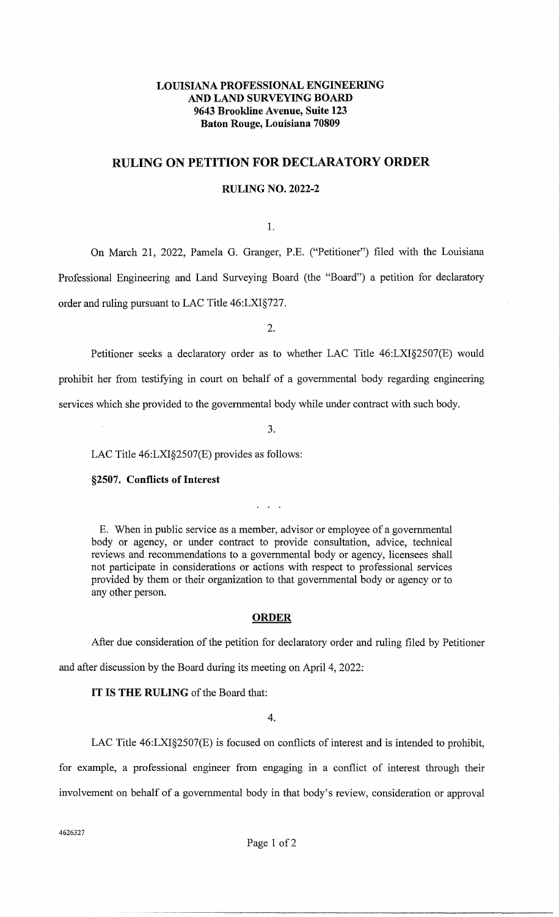# **LOUISIANA PROFESSIONAL ENGINEERING AND LAND SURVEYING BOARD 9643 Brookline Avenue, Suite 123 Baton Rouge, Louisiana 70809**

# **RULING ON PETITION FOR DECLARATORY ORDER**

## **RULING NO. 2022-2**

1.

On March 21, 2022, Pamela G. Granger, P.E. ("Petitioner") filed with the Louisiana Professional Engineering and Land Surveying Board (the "Board") a petition for declaratory order and ruling pursuant to LAC Title 46:LXI§727.

2.

Petitioner seeks a declaratory order as to whether LAC Title 46:LXI§2507(E) would prohibit her from testifying in court on behalf of a governmental body regarding engineering services which she provided to the governmental body while under contract with such body.

3.

LAC Title 46:LXI§2507(E) provides as follows:

### **§2507. Conflicts of Interest**

E. When in public service as a member, advisor or employee of a governmental body or agency, or under contract to provide consultation, advice, technical reviews and recommendations to a governmental body or agency, licensees shall not participate in considerations or actions with respect to professional services provided by them or their organization to that governmental body or agency or to any other person.

 $\sim$   $\sim$ 

#### **ORDER**

After due consideration of the petition for declaratory order and ruling filed by Petitioner and after discussion by the Board during its meeting on April 4, 2022:

**IT IS THE RULING** of the Board that:

4.

LAC Title 46:LXI§2507(E) is focused on conflicts of interest and is intended to prohibit, for example, a professional engineer from engaging in a conflict of interest through their involvement on behalf of a governmental body in that body's review, consideration or approval

4626327